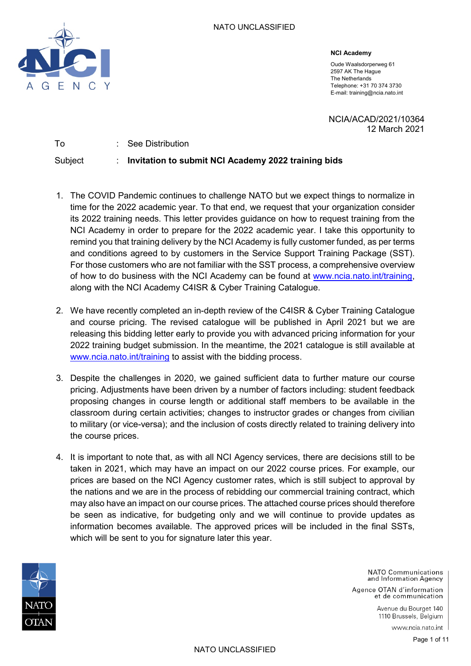

**NCI Academy**

Oude Waalsdorperweg 61 2597 AK The Hague The Netherlands Telephone: +31 70 374 3730 E-mail: training@ncia.nato.int

NCIA/ACAD/2021/10364 12 March 2021

To : See Distribution Subject : **Invitation to submit NCI Academy 2022 training bids**

- 1. The COVID Pandemic continues to challenge NATO but we expect things to normalize in time for the 2022 academic year. To that end, we request that your organization consider its 2022 training needs. This letter provides guidance on how to request training from the NCI Academy in order to prepare for the 2022 academic year. I take this opportunity to remind you that training delivery by the NCI Academy is fully customer funded, as per terms and conditions agreed to by customers in the Service Support Training Package (SST). For those customers who are not familiar with the SST process, a comprehensive overview of how to do business with the NCI Academy can be found at [www.ncia.nato.int/training,](http://www.ncia.nato.int/training) along with the NCI Academy C4ISR & Cyber Training Catalogue.
- 2. We have recently completed an in-depth review of the C4ISR & Cyber Training Catalogue and course pricing. The revised catalogue will be published in April 2021 but we are releasing this bidding letter early to provide you with advanced pricing information for your 2022 training budget submission. In the meantime, the 2021 catalogue is still available at [www.ncia.nato.int/training](http://www.ncia.nato.int/training) to assist with the bidding process.
- 3. Despite the challenges in 2020, we gained sufficient data to further mature our course pricing. Adjustments have been driven by a number of factors including: student feedback proposing changes in course length or additional staff members to be available in the classroom during certain activities; changes to instructor grades or changes from civilian to military (or vice-versa); and the inclusion of costs directly related to training delivery into the course prices.
- 4. It is important to note that, as with all NCI Agency services, there are decisions still to be taken in 2021, which may have an impact on our 2022 course prices. For example, our prices are based on the NCI Agency customer rates, which is still subject to approval by the nations and we are in the process of rebidding our commercial training contract, which may also have an impact on our course prices. The attached course prices should therefore be seen as indicative, for budgeting only and we will continue to provide updates as information becomes available. The approved prices will be included in the final SSTs, which will be sent to you for signature later this year.



**NATO Communications** and Information Agency

Agence OTAN d'information et de communication

> Avenue du Bourget 140 1110 Brussels, Belgium

> > www.ncia.nato.int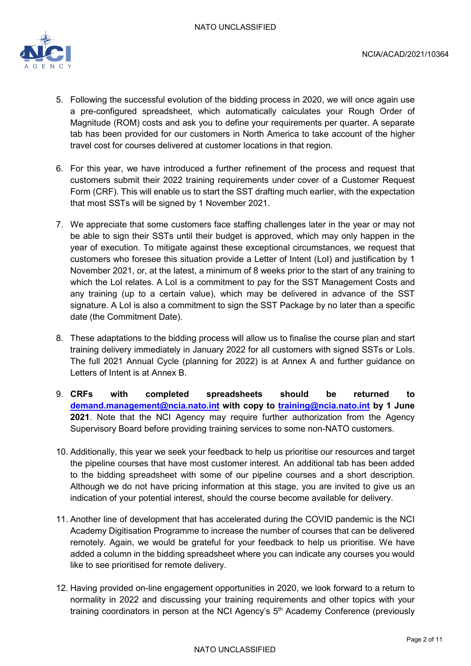

- 5. Following the successful evolution of the bidding process in 2020, we will once again use a pre-configured spreadsheet, which automatically calculates your Rough Order of Magnitude (ROM) costs and ask you to define your requirements per quarter. A separate tab has been provided for our customers in North America to take account of the higher travel cost for courses delivered at customer locations in that region.
- 6. For this year, we have introduced a further refinement of the process and request that customers submit their 2022 training requirements under cover of a Customer Request Form (CRF). This will enable us to start the SST drafting much earlier, with the expectation that most SSTs will be signed by 1 November 2021.
- 7. We appreciate that some customers face staffing challenges later in the year or may not be able to sign their SSTs until their budget is approved, which may only happen in the year of execution. To mitigate against these exceptional circumstances, we request that customers who foresee this situation provide a Letter of Intent (LoI) and justification by 1 November 2021, or, at the latest, a minimum of 8 weeks prior to the start of any training to which the LoI relates. A LoI is a commitment to pay for the SST Management Costs and any training (up to a certain value), which may be delivered in advance of the SST signature. A LoI is also a commitment to sign the SST Package by no later than a specific date (the Commitment Date).
- 8. These adaptations to the bidding process will allow us to finalise the course plan and start training delivery immediately in January 2022 for all customers with signed SSTs or LoIs. The full 2021 Annual Cycle (planning for 2022) is at Annex A and further guidance on Letters of Intent is at Annex B.
- 9. **CRFs with completed spreadsheets should be returned to [demand.management@ncia.nato.int](mailto:demand.management@ncia.nato.int) with copy to [training@ncia.nato.int](mailto:training@ncia.nato.int) by 1 June 2021**. Note that the NCI Agency may require further authorization from the Agency Supervisory Board before providing training services to some non-NATO customers.
- 10. Additionally, this year we seek your feedback to help us prioritise our resources and target the pipeline courses that have most customer interest. An additional tab has been added to the bidding spreadsheet with some of our pipeline courses and a short description. Although we do not have pricing information at this stage, you are invited to give us an indication of your potential interest, should the course become available for delivery.
- 11. Another line of development that has accelerated during the COVID pandemic is the NCI Academy Digitisation Programme to increase the number of courses that can be delivered remotely. Again, we would be grateful for your feedback to help us prioritise. We have added a column in the bidding spreadsheet where you can indicate any courses you would like to see prioritised for remote delivery.
- 12. Having provided on-line engagement opportunities in 2020, we look forward to a return to normality in 2022 and discussing your training requirements and other topics with your training coordinators in person at the NCI Agency's  $5<sup>th</sup>$  Academy Conference (previously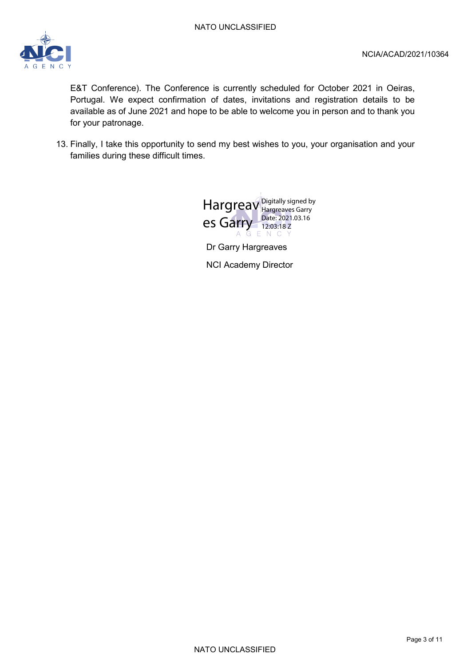

E&T Conference). The Conference is currently scheduled for October 2021 in Oeiras, Portugal. We expect confirmation of dates, invitations and registration details to be available as of June 2021 and hope to be able to welcome you in person and to thank you for your patronage.

13. Finally, I take this opportunity to send my best wishes to you, your organisation and your families during these difficult times.



Dr Garry Hargreaves NCI Academy Director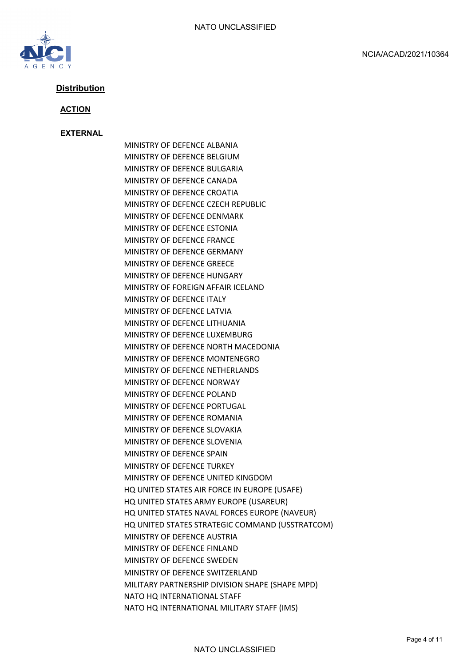

# **Distribution**

#### **ACTION**

#### **EXTERNAL**

MINISTRY OF DEFENCE ALBANIA MINISTRY OF DEFENCE BELGIUM MINISTRY OF DEFENCE BULGARIA MINISTRY OF DEFENCE CANADA MINISTRY OF DEFENCE CROATIA MINISTRY OF DEFENCE CZECH REPUBLIC MINISTRY OF DEFENCE DENMARK MINISTRY OF DEFENCE ESTONIA MINISTRY OF DEFENCE FRANCE MINISTRY OF DEFENCE GERMANY MINISTRY OF DEFENCE GREECE MINISTRY OF DEFENCE HUNGARY MINISTRY OF FOREIGN AFFAIR ICELAND MINISTRY OF DEFENCE ITALY MINISTRY OF DEFENCE LATVIA MINISTRY OF DEFENCE LITHUANIA MINISTRY OF DEFENCE LUXEMBURG MINISTRY OF DEFENCE NORTH MACEDONIA MINISTRY OF DEFENCE MONTENEGRO MINISTRY OF DEFENCE NETHERLANDS MINISTRY OF DEFENCE NORWAY MINISTRY OF DEFENCE POLAND MINISTRY OF DEFENCE PORTUGAL MINISTRY OF DEFENCE ROMANIA MINISTRY OF DEFENCE SLOVAKIA MINISTRY OF DEFENCE SLOVENIA MINISTRY OF DEFENCE SPAIN MINISTRY OF DEFENCE TURKEY MINISTRY OF DEFENCE UNITED KINGDOM HQ UNITED STATES AIR FORCE IN EUROPE (USAFE) HQ UNITED STATES ARMY EUROPE (USAREUR) HQ UNITED STATES NAVAL FORCES EUROPE (NAVEUR) HQ UNITED STATES STRATEGIC COMMAND (USSTRATCOM) MINISTRY OF DEFENCE AUSTRIA MINISTRY OF DEFENCE FINLAND MINISTRY OF DEFENCE SWEDEN MINISTRY OF DEFENCE SWITZERLAND MILITARY PARTNERSHIP DIVISION SHAPE (SHAPE MPD) NATO HQ INTERNATIONAL STAFF NATO HQ INTERNATIONAL MILITARY STAFF (IMS)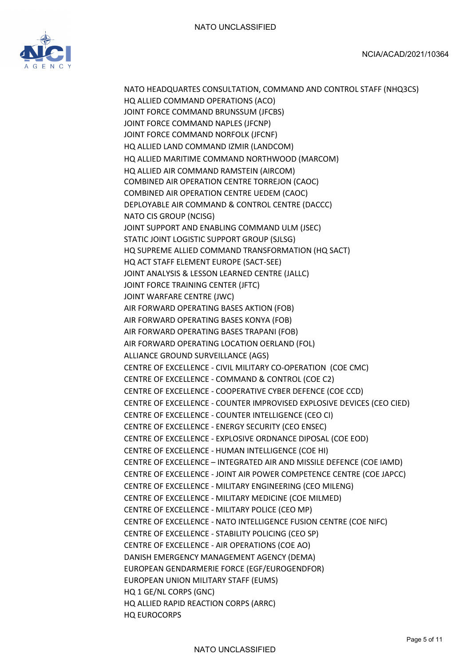

NATO HEADQUARTES CONSULTATION, COMMAND AND CONTROL STAFF (NHQ3CS) HQ ALLIED COMMAND OPERATIONS (ACO) JOINT FORCE COMMAND BRUNSSUM (JFCBS) JOINT FORCE COMMAND NAPLES (JFCNP) JOINT FORCE COMMAND NORFOLK (JFCNF) HQ ALLIED LAND COMMAND IZMIR (LANDCOM) HQ ALLIED MARITIME COMMAND NORTHWOOD (MARCOM) HQ ALLIED AIR COMMAND RAMSTEIN (AIRCOM) COMBINED AIR OPERATION CENTRE TORREJON (CAOC) COMBINED AIR OPERATION CENTRE UEDEM (CAOC) DEPLOYABLE AIR COMMAND & CONTROL CENTRE (DACCC) NATO CIS GROUP (NCISG) JOINT SUPPORT AND ENABLING COMMAND ULM (JSEC) STATIC JOINT LOGISTIC SUPPORT GROUP (SJLSG) HQ SUPREME ALLIED COMMAND TRANSFORMATION (HQ SACT) HQ ACT STAFF ELEMENT EUROPE (SACT-SEE) JOINT ANALYSIS & LESSON LEARNED CENTRE (JALLC) JOINT FORCE TRAINING CENTER (JFTC) JOINT WARFARE CENTRE (JWC) AIR FORWARD OPERATING BASES AKTION (FOB) AIR FORWARD OPERATING BASES KONYA (FOB) AIR FORWARD OPERATING BASES TRAPANI (FOB) AIR FORWARD OPERATING LOCATION OERLAND (FOL) ALLIANCE GROUND SURVEILLANCE (AGS) CENTRE OF EXCELLENCE - CIVIL MILITARY CO-OPERATION (COE CMC) CENTRE OF EXCELLENCE - COMMAND & CONTROL (COE C2) CENTRE OF EXCELLENCE - COOPERATIVE CYBER DEFENCE (COE CCD) CENTRE OF EXCELLENCE - COUNTER IMPROVISED EXPLOSIVE DEVICES (CEO CIED) CENTRE OF EXCELLENCE - COUNTER INTELLIGENCE (CEO CI) CENTRE OF EXCELLENCE - ENERGY SECURITY (CEO ENSEC) CENTRE OF EXCELLENCE - EXPLOSIVE ORDNANCE DIPOSAL (COE EOD) CENTRE OF EXCELLENCE - HUMAN INTELLIGENCE (COE HI) CENTRE OF EXCELLENCE – INTEGRATED AIR AND MISSILE DEFENCE (COE IAMD) CENTRE OF EXCELLENCE - JOINT AIR POWER COMPETENCE CENTRE (COE JAPCC) CENTRE OF EXCELLENCE - MILITARY ENGINEERING (CEO MILENG) CENTRE OF EXCELLENCE - MILITARY MEDICINE (COE MILMED) CENTRE OF EXCELLENCE - MILITARY POLICE (CEO MP) CENTRE OF EXCELLENCE - NATO INTELLIGENCE FUSION CENTRE (COE NIFC) CENTRE OF EXCELLENCE - STABILITY POLICING (CEO SP) CENTRE OF EXCELLENCE - AIR OPERATIONS (COE AO) DANISH EMERGENCY MANAGEMENT AGENCY (DEMA) EUROPEAN GENDARMERIE FORCE (EGF/EUROGENDFOR) EUROPEAN UNION MILITARY STAFF (EUMS) HQ 1 GE/NL CORPS (GNC) HQ ALLIED RAPID REACTION CORPS (ARRC) HQ EUROCORPS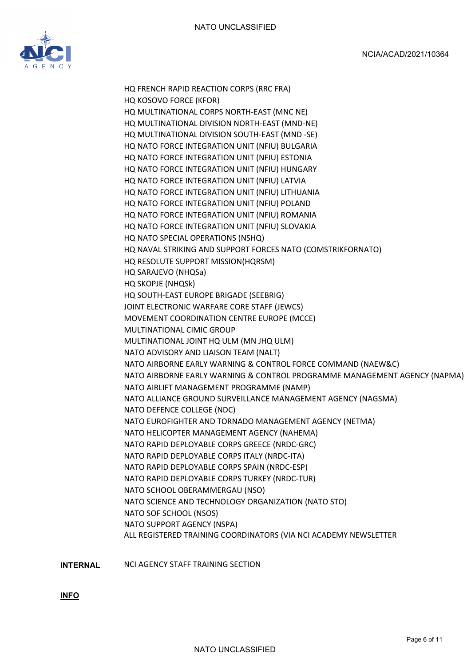

HQ FRENCH RAPID REACTION CORPS (RRC FRA) HQ KOSOVO FORCE (KFOR) HQ MULTINATIONAL CORPS NORTH-EAST (MNC NE) HQ MULTINATIONAL DIVISION NORTH-EAST (MND-NE) HQ MULTINATIONAL DIVISION SOUTH-EAST (MND -SE) HQ NATO FORCE INTEGRATION UNIT (NFIU) BULGARIA HQ NATO FORCE INTEGRATION UNIT (NFIU) ESTONIA HQ NATO FORCE INTEGRATION UNIT (NFIU) HUNGARY HQ NATO FORCE INTEGRATION UNIT (NFIU) LATVIA HQ NATO FORCE INTEGRATION UNIT (NFIU) LITHUANIA HQ NATO FORCE INTEGRATION UNIT (NFIU) POLAND HQ NATO FORCE INTEGRATION UNIT (NFIU) ROMANIA HQ NATO FORCE INTEGRATION UNIT (NFIU) SLOVAKIA HQ NATO SPECIAL OPERATIONS (NSHQ) HQ NAVAL STRIKING AND SUPPORT FORCES NATO (COMSTRIKFORNATO) HQ RESOLUTE SUPPORT MISSION(HQRSM) HQ SARAJEVO (NHQSa) HQ SKOPJE (NHQSk) HQ SOUTH-EAST EUROPE BRIGADE (SEEBRIG) JOINT ELECTRONIC WARFARE CORE STAFF (JEWCS) MOVEMENT COORDINATION CENTRE EUROPE (MCCE) MULTINATIONAL CIMIC GROUP MULTINATIONAL JOINT HQ ULM (MN JHQ ULM) NATO ADVISORY AND LIAISON TEAM (NALT) NATO AIRBORNE EARLY WARNING & CONTROL FORCE COMMAND (NAEW&C) NATO AIRBORNE EARLY WARNING & CONTROL PROGRAMME MANAGEMENT AGENCY (NAPMA) NATO AIRLIFT MANAGEMENT PROGRAMME (NAMP) NATO ALLIANCE GROUND SURVEILLANCE MANAGEMENT AGENCY (NAGSMA) NATO DEFENCE COLLEGE (NDC) NATO EUROFIGHTER AND TORNADO MANAGEMENT AGENCY (NETMA) NATO HELICOPTER MANAGEMENT AGENCY (NAHEMA) NATO RAPID DEPLOYABLE CORPS GREECE (NRDC-GRC) NATO RAPID DEPLOYABLE CORPS ITALY (NRDC-ITA) NATO RAPID DEPLOYABLE CORPS SPAIN (NRDC-ESP) NATO RAPID DEPLOYABLE CORPS TURKEY (NRDC-TUR) NATO SCHOOL OBERAMMERGAU (NSO) NATO SCIENCE AND TECHNOLOGY ORGANIZATION (NATO STO) NATO SOF SCHOOL (NSOS) NATO SUPPORT AGENCY (NSPA) ALL REGISTERED TRAINING COORDINATORS (VIA NCI ACADEMY NEWSLETTER

**INTERNAL** NCI AGENCY STAFF TRAINING SECTION

**INFO**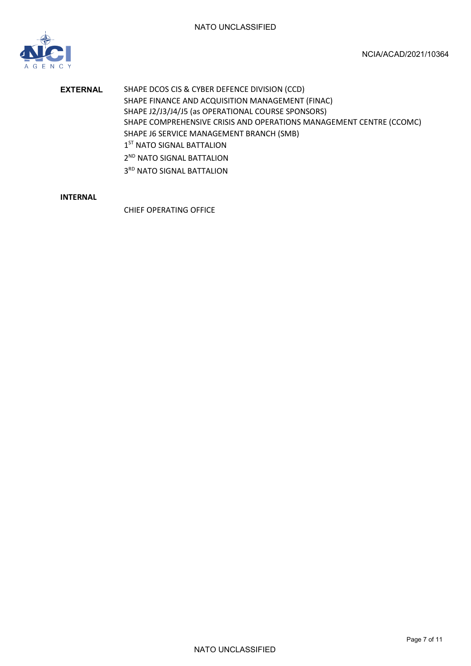

**EXTERNAL** SHAPE DCOS CIS & CYBER DEFENCE DIVISION (CCD) SHAPE FINANCE AND ACQUISITION MANAGEMENT (FINAC) SHAPE J2/J3/J4/J5 (as OPERATIONAL COURSE SPONSORS) SHAPE COMPREHENSIVE CRISIS AND OPERATIONS MANAGEMENT CENTRE (CCOMC) SHAPE J6 SERVICE MANAGEMENT BRANCH (SMB) 1<sup>ST</sup> NATO SIGNAL BATTALION 2<sup>ND</sup> NATO SIGNAL BATTALION 3RD NATO SIGNAL BATTALION

# **INTERNAL**

CHIEF OPERATING OFFICE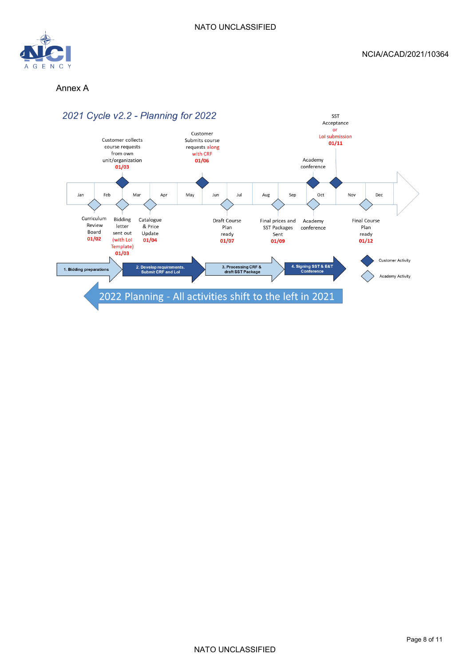

### Annex A

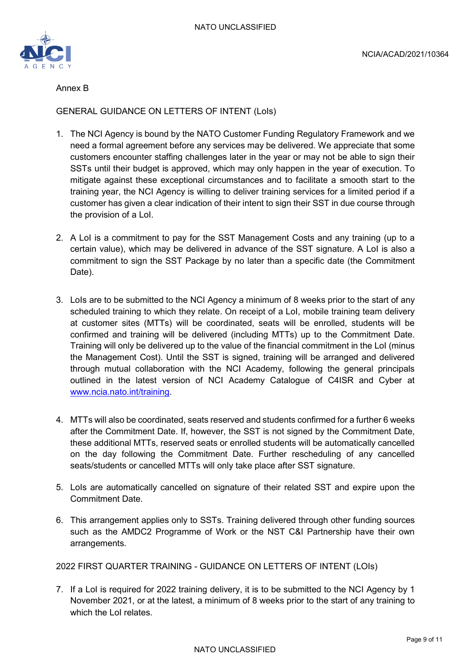

Annex B

GENERAL GUIDANCE ON LETTERS OF INTENT (LoIs)

- 1. The NCI Agency is bound by the NATO Customer Funding Regulatory Framework and we need a formal agreement before any services may be delivered. We appreciate that some customers encounter staffing challenges later in the year or may not be able to sign their SSTs until their budget is approved, which may only happen in the year of execution. To mitigate against these exceptional circumstances and to facilitate a smooth start to the training year, the NCI Agency is willing to deliver training services for a limited period if a customer has given a clear indication of their intent to sign their SST in due course through the provision of a LoI.
- 2. A LoI is a commitment to pay for the SST Management Costs and any training (up to a certain value), which may be delivered in advance of the SST signature. A LoI is also a commitment to sign the SST Package by no later than a specific date (the Commitment Date).
- 3. LoIs are to be submitted to the NCI Agency a minimum of 8 weeks prior to the start of any scheduled training to which they relate. On receipt of a LoI, mobile training team delivery at customer sites (MTTs) will be coordinated, seats will be enrolled, students will be confirmed and training will be delivered (including MTTs) up to the Commitment Date. Training will only be delivered up to the value of the financial commitment in the LoI (minus the Management Cost). Until the SST is signed, training will be arranged and delivered through mutual collaboration with the NCI Academy, following the general principals outlined in the latest version of NCI Academy Catalogue of C4ISR and Cyber at [www.ncia.nato.int/training.](http://www.ncia.nato.int/training)
- 4. MTTs will also be coordinated, seats reserved and students confirmed for a further 6 weeks after the Commitment Date. If, however, the SST is not signed by the Commitment Date, these additional MTTs, reserved seats or enrolled students will be automatically cancelled on the day following the Commitment Date. Further rescheduling of any cancelled seats/students or cancelled MTTs will only take place after SST signature.
- 5. LoIs are automatically cancelled on signature of their related SST and expire upon the Commitment Date.
- 6. This arrangement applies only to SSTs. Training delivered through other funding sources such as the AMDC2 Programme of Work or the NST C&I Partnership have their own arrangements.

2022 FIRST QUARTER TRAINING - GUIDANCE ON LETTERS OF INTENT (LOIs)

7. If a LoI is required for 2022 training delivery, it is to be submitted to the NCI Agency by 1 November 2021, or at the latest, a minimum of 8 weeks prior to the start of any training to which the LoI relates.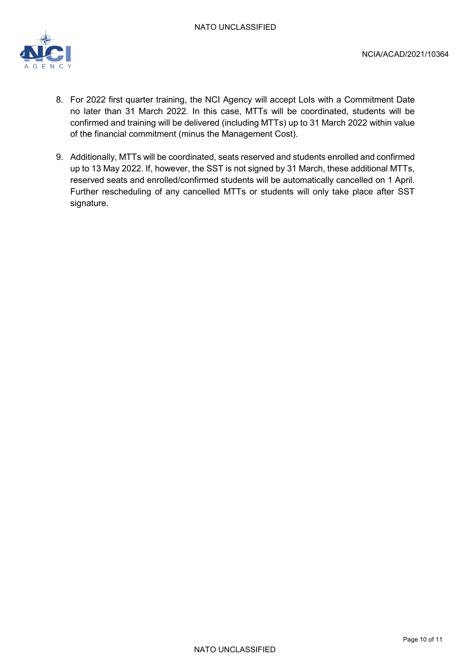

- 8. For 2022 first quarter training, the NCI Agency will accept Lols with a Commitment Date no later than 31 March 2022. In this case, MTTs will be coordinated, students will be confirmed and training will be delivered (including MTTs) up to 31 March 2022 within value of the financial commitment (minus the Management Cost).
- 9. Additionally, MTTs will be coordinated, seats reserved and students enrolled and confirmed up to 13 May 2022. If, however, the SST is not signed by 31 March, these additional MTTs, reserved seats and enrolled/confirmed students will be automatically cancelled on 1 April. Further rescheduling of any cancelled MTTs or students will only take place after SST signature.